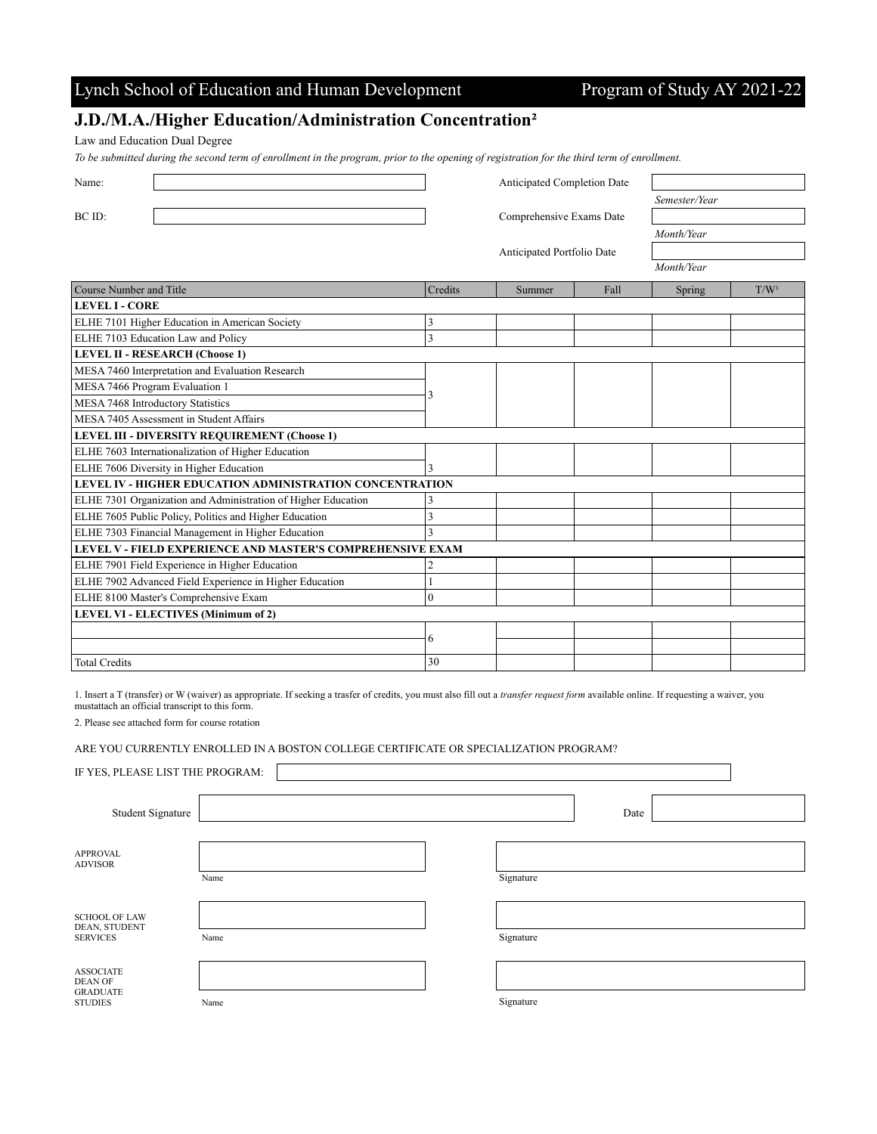## Lynch School of Education and Human Development Program of Study AY 2021-22

### **J.D./M.A./Higher Education/Administration Concentration²**

Law and Education Dual Degree

*To be submitted during the second term of enrollment in the program, prior to the opening of registration for the third term of enrollment.*

| Name:                                                         |                | <b>Anticipated Completion Date</b> |                            |               |                  |
|---------------------------------------------------------------|----------------|------------------------------------|----------------------------|---------------|------------------|
|                                                               |                |                                    |                            | Semester/Year |                  |
| BC ID:                                                        |                | Comprehensive Exams Date           |                            |               |                  |
|                                                               |                |                                    |                            | Month/Year    |                  |
|                                                               |                |                                    | Anticipated Portfolio Date |               |                  |
|                                                               |                |                                    |                            | Month/Year    |                  |
| <b>Course Number and Title</b>                                | Credits        | Summer                             | Fall                       | Spring        | T/W <sup>1</sup> |
| <b>LEVEL I - CORE</b>                                         |                |                                    |                            |               |                  |
| ELHE 7101 Higher Education in American Society                | 3              |                                    |                            |               |                  |
| ELHE 7103 Education Law and Policy                            | 3              |                                    |                            |               |                  |
| <b>LEVEL II - RESEARCH (Choose 1)</b>                         |                |                                    |                            |               |                  |
| MESA 7460 Interpretation and Evaluation Research              |                |                                    |                            |               |                  |
| MESA 7466 Program Evaluation 1                                |                |                                    |                            |               |                  |
| MESA 7468 Introductory Statistics                             |                | 3                                  |                            |               |                  |
| MESA 7405 Assessment in Student Affairs                       |                |                                    |                            |               |                  |
| <b>LEVEL III - DIVERSITY REQUIREMENT (Choose 1)</b>           |                |                                    |                            |               |                  |
| ELHE 7603 Internationalization of Higher Education            |                |                                    |                            |               |                  |
| ELHE 7606 Diversity in Higher Education                       | 3              |                                    |                            |               |                  |
| LEVEL IV - HIGHER EDUCATION ADMINISTRATION CONCENTRATION      |                |                                    |                            |               |                  |
| ELHE 7301 Organization and Administration of Higher Education | 3              |                                    |                            |               |                  |
| ELHE 7605 Public Policy, Politics and Higher Education        | 3              |                                    |                            |               |                  |
| ELHE 7303 Financial Management in Higher Education            | $\overline{3}$ |                                    |                            |               |                  |
| LEVEL V - FIELD EXPERIENCE AND MASTER'S COMPREHENSIVE EXAM    |                |                                    |                            |               |                  |
| ELHE 7901 Field Experience in Higher Education                | 2              |                                    |                            |               |                  |
| ELHE 7902 Advanced Field Experience in Higher Education       |                |                                    |                            |               |                  |
| ELHE 8100 Master's Comprehensive Exam                         | $\overline{0}$ |                                    |                            |               |                  |
| <b>LEVEL VI - ELECTIVES (Minimum of 2)</b>                    |                |                                    |                            |               |                  |
|                                                               | 6              |                                    |                            |               |                  |
|                                                               |                |                                    |                            |               |                  |
| <b>Total Credits</b>                                          | 30             |                                    |                            |               |                  |

1. Insert a T (transfer) or W (waiver) as appropriate. If seeking a trasfer of credits, you must also fill out a *transfer request form* available online. If requesting a waiver, you mustattach an official transcript to this form.

2. Please see attached form for course rotation

ARE YOU CURRENTLY ENROLLED IN A BOSTON COLLEGE CERTIFICATE OR SPECIALIZATION PROGRAM?

| IF YES, PLEASE LIST THE PROGRAM:                                        |      |           |      |  |
|-------------------------------------------------------------------------|------|-----------|------|--|
| <b>Student Signature</b>                                                |      |           | Date |  |
| <b>APPROVAL</b><br><b>ADVISOR</b>                                       | Name | Signature |      |  |
| <b>SCHOOL OF LAW</b><br>DEAN, STUDENT<br><b>SERVICES</b>                | Name | Signature |      |  |
| <b>ASSOCIATE</b><br><b>DEAN OF</b><br><b>GRADUATE</b><br><b>STUDIES</b> | Name | Signature |      |  |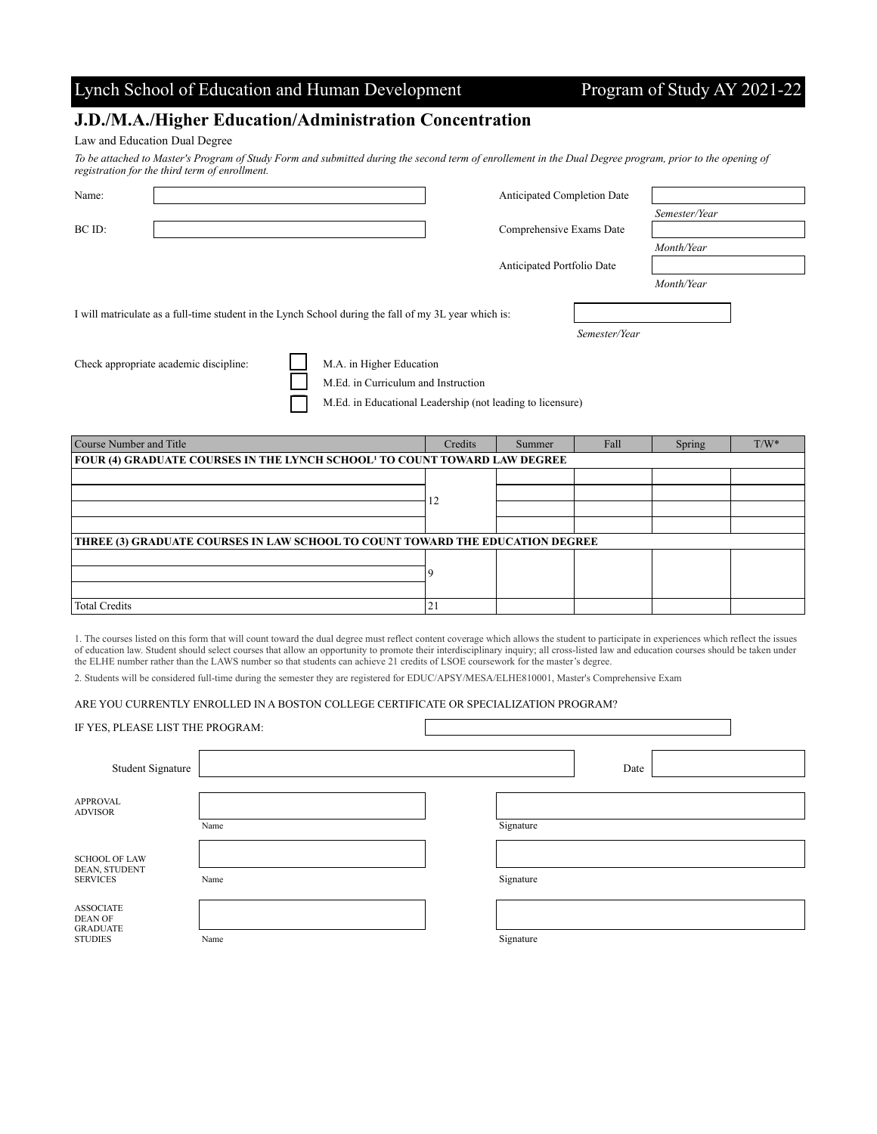### Lynch School of Education and Human Development Program of Study AY 2021-22

## **J.D./M.A./Higher Education/Administration Concentration**

### Law and Education Dual Degree

*To be attached to Master's Program of Study Form and submitted during the second term of enrollement in the Dual Degree program, prior to the opening of registration for the third term of enrollment.* 

| Name:  |                                                                                                       |                                                                 | Anticipated Completion Date |               |               |
|--------|-------------------------------------------------------------------------------------------------------|-----------------------------------------------------------------|-----------------------------|---------------|---------------|
|        |                                                                                                       |                                                                 |                             |               | Semester/Year |
| BC ID: |                                                                                                       |                                                                 | Comprehensive Exams Date    |               |               |
|        |                                                                                                       |                                                                 |                             |               | Month/Year    |
|        |                                                                                                       |                                                                 | Anticipated Portfolio Date  |               |               |
|        |                                                                                                       |                                                                 |                             |               | Month/Year    |
|        | I will matriculate as a full-time student in the Lynch School during the fall of my 3L year which is: |                                                                 |                             |               |               |
|        |                                                                                                       |                                                                 |                             | Semester/Year |               |
|        | Check appropriate academic discipline:                                                                | M.A. in Higher Education<br>M.Ed. in Curriculum and Instruction |                             |               |               |

M.Ed. in Educational Leadership (not leading to licensure)

| Course Number and Title                                                               | Credits     | Summer | Fall | Spring | $T/W^*$ |  |
|---------------------------------------------------------------------------------------|-------------|--------|------|--------|---------|--|
| FOUR (4) GRADUATE COURSES IN THE LYNCH SCHOOL <sup>1</sup> TO COUNT TOWARD LAW DEGREE |             |        |      |        |         |  |
|                                                                                       |             |        |      |        |         |  |
|                                                                                       | 12          |        |      |        |         |  |
|                                                                                       |             |        |      |        |         |  |
|                                                                                       |             |        |      |        |         |  |
| THREE (3) GRADUATE COURSES IN LAW SCHOOL TO COUNT TOWARD THE EDUCATION DEGREE         |             |        |      |        |         |  |
|                                                                                       |             |        |      |        |         |  |
|                                                                                       |             |        |      |        |         |  |
|                                                                                       |             |        |      |        |         |  |
| <b>Total Credits</b>                                                                  | $2^{\circ}$ |        |      |        |         |  |

1. The courses listed on this form that will count toward the dual degree must reflect content coverage which allows the student to participate in experiences which reflect the issues of education law. Student should select courses that allow an opportunity to promote their interdisciplinary inquiry; all cross-listed law and education courses should be taken under the ELHE number rather than the LAWS number so that students can achieve 21 credits of LSOE coursework for the master's degree.

2. Students will be considered full-time during the semester they are registered for EDUC/APSY/MESA/ELHE810001, Master's Comprehensive Exam

### ARE YOU CURRENTLY ENROLLED IN A BOSTON COLLEGE CERTIFICATE OR SPECIALIZATION PROGRAM?

| IF YES, PLEASE LIST THE PROGRAM:                                        |      |           |      |  |
|-------------------------------------------------------------------------|------|-----------|------|--|
| Student Signature                                                       |      |           | Date |  |
| <b>APPROVAL</b><br><b>ADVISOR</b>                                       | Name | Signature |      |  |
| <b>SCHOOL OF LAW</b><br>DEAN, STUDENT<br><b>SERVICES</b>                | Name | Signature |      |  |
| <b>ASSOCIATE</b><br><b>DEAN OF</b><br><b>GRADUATE</b><br><b>STUDIES</b> | Name | Signature |      |  |